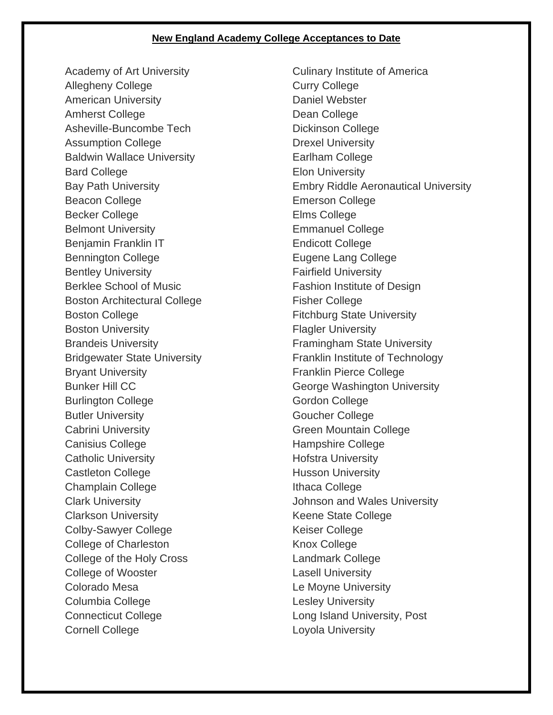## **New England Academy College Acceptances to Date**

Academy of Art University Allegheny College American University Amherst College Asheville-Buncombe Tech Assumption College Baldwin Wallace University Bard College Bay Path University Beacon College Becker College Belmont University Benjamin Franklin IT Bennington College Bentley University Berklee School of Music Boston Architectural College Boston College Boston University Brandeis University Bridgewater State University Bryant University Bunker Hill CC Burlington College Butler University Cabrini University Canisius College Catholic University Castleton College Champlain College Clark University Clarkson University Colby-Sawyer College College of Charleston College of the Holy Cross College of Wooster Colorado Mesa Columbia College Connecticut College Cornell College

Culinary Institute of America Curry College Daniel Webster Dean College Dickinson College Drexel University Earlham College Elon University Embry Riddle Aeronautical University Emerson College Elms College Emmanuel College Endicott College Eugene Lang College Fairfield University Fashion Institute of Design Fisher College Fitchburg State University Flagler University Framingham State University Franklin Institute of Technology Franklin Pierce College George Washington University Gordon College Goucher College Green Mountain College Hampshire College Hofstra University Husson University Ithaca College Johnson and Wales University Keene State College Keiser College Knox College Landmark College Lasell University Le Moyne University Lesley University Long Island University, Post Loyola University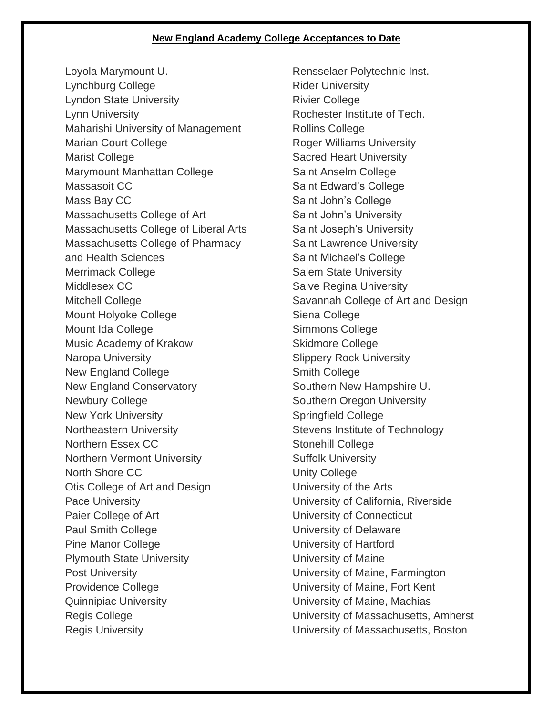## **New England Academy College Acceptances to Date**

Loyola Marymount U. Lynchburg College Lyndon State University Lynn University Maharishi University of Management Marian Court College Marist College Marymount Manhattan College Massasoit CC Mass Bay CC Massachusetts College of Art Massachusetts College of Liberal Arts Massachusetts College of Pharmacy and Health Sciences Merrimack College Middlesex CC Mitchell College Mount Holyoke College Mount Ida College Music Academy of Krakow Naropa University New England College New England Conservatory Newbury College New York University Northeastern University Northern Essex CC Northern Vermont University North Shore CC Otis College of Art and Design Pace University Paier College of Art Paul Smith College Pine Manor College Plymouth State University Post University Providence College Quinnipiac University Regis College Regis University

Rensselaer Polytechnic Inst. Rider University Rivier College Rochester Institute of Tech. Rollins College Roger Williams University Sacred Heart University Saint Anselm College Saint Edward's College Saint John's College Saint John's University Saint Joseph's University Saint Lawrence University Saint Michael's College Salem State University Salve Regina University Savannah College of Art and Design Siena College Simmons College Skidmore College Slippery Rock University Smith College Southern New Hampshire U. Southern Oregon University Springfield College Stevens Institute of Technology Stonehill College Suffolk University Unity College University of the Arts University of California, Riverside University of Connecticut University of Delaware University of Hartford University of Maine University of Maine, Farmington University of Maine, Fort Kent University of Maine, Machias University of Massachusetts, Amherst University of Massachusetts, Boston